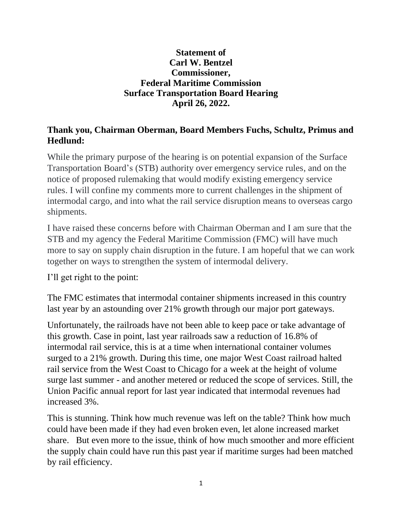## **Statement of Carl W. Bentzel Commissioner, Federal Maritime Commission Surface Transportation Board Hearing April 26, 2022.**

## **Thank you, Chairman Oberman, Board Members Fuchs, Schultz, Primus and Hedlund:**

While the primary purpose of the hearing is on potential expansion of the Surface Transportation Board's (STB) authority over emergency service rules, and on the notice of proposed rulemaking that would modify existing emergency service rules. I will confine my comments more to current challenges in the shipment of intermodal cargo, and into what the rail service disruption means to overseas cargo shipments.

I have raised these concerns before with Chairman Oberman and I am sure that the STB and my agency the Federal Maritime Commission (FMC) will have much more to say on supply chain disruption in the future. I am hopeful that we can work together on ways to strengthen the system of intermodal delivery.

I'll get right to the point:

The FMC estimates that intermodal container shipments increased in this country last year by an astounding over 21% growth through our major port gateways.

Unfortunately, the railroads have not been able to keep pace or take advantage of this growth. Case in point, last year railroads saw a reduction of 16.8% of intermodal rail service, this is at a time when international container volumes surged to a 21% growth. During this time, one major West Coast railroad halted rail service from the West Coast to Chicago for a week at the height of volume surge last summer - and another metered or reduced the scope of services. Still, the Union Pacific annual report for last year indicated that intermodal revenues had increased 3%.

This is stunning. Think how much revenue was left on the table? Think how much could have been made if they had even broken even, let alone increased market share. But even more to the issue, think of how much smoother and more efficient the supply chain could have run this past year if maritime surges had been matched by rail efficiency.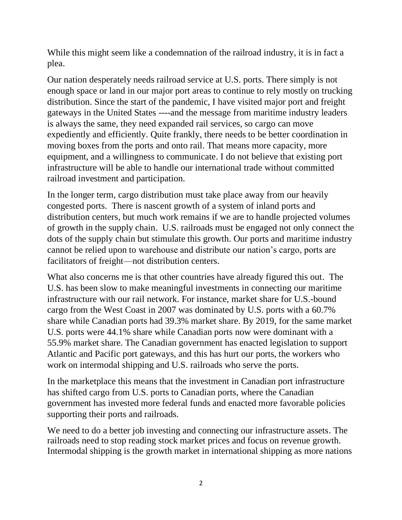While this might seem like a condemnation of the railroad industry, it is in fact a plea.

Our nation desperately needs railroad service at U.S. ports. There simply is not enough space or land in our major port areas to continue to rely mostly on trucking distribution. Since the start of the pandemic, I have visited major port and freight gateways in the United States ----and the message from maritime industry leaders is always the same, they need expanded rail services, so cargo can move expediently and efficiently. Quite frankly, there needs to be better coordination in moving boxes from the ports and onto rail. That means more capacity, more equipment, and a willingness to communicate. I do not believe that existing port infrastructure will be able to handle our international trade without committed railroad investment and participation.

In the longer term, cargo distribution must take place away from our heavily congested ports. There is nascent growth of a system of inland ports and distribution centers, but much work remains if we are to handle projected volumes of growth in the supply chain. U.S. railroads must be engaged not only connect the dots of the supply chain but stimulate this growth. Our ports and maritime industry cannot be relied upon to warehouse and distribute our nation's cargo, ports are facilitators of freight—not distribution centers.

What also concerns me is that other countries have already figured this out. The U.S. has been slow to make meaningful investments in connecting our maritime infrastructure with our rail network. For instance, market share for U.S.-bound cargo from the West Coast in 2007 was dominated by U.S. ports with a 60.7% share while Canadian ports had 39.3% market share. By 2019, for the same market U.S. ports were 44.1% share while Canadian ports now were dominant with a 55.9% market share. The Canadian government has enacted legislation to support Atlantic and Pacific port gateways, and this has hurt our ports, the workers who work on intermodal shipping and U.S. railroads who serve the ports.

In the marketplace this means that the investment in Canadian port infrastructure has shifted cargo from U.S. ports to Canadian ports, where the Canadian government has invested more federal funds and enacted more favorable policies supporting their ports and railroads.

We need to do a better job investing and connecting our infrastructure assets. The railroads need to stop reading stock market prices and focus on revenue growth. Intermodal shipping is the growth market in international shipping as more nations